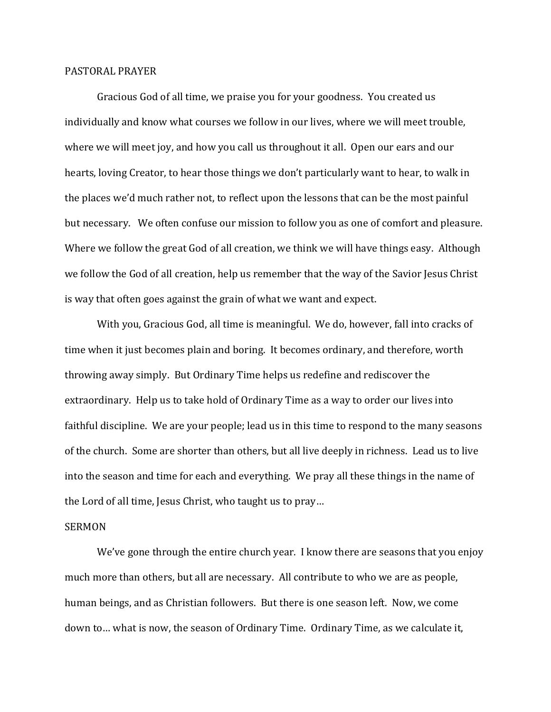## PASTORAL PRAYER

 Gracious God of all time, we praise you for your goodness. You created us individually and know what courses we follow in our lives, where we will meet trouble, where we will meet joy, and how you call us throughout it all. Open our ears and our hearts, loving Creator, to hear those things we don't particularly want to hear, to walk in the places we'd much rather not, to reflect upon the lessons that can be the most painful but necessary. We often confuse our mission to follow you as one of comfort and pleasure. Where we follow the great God of all creation, we think we will have things easy. Although we follow the God of all creation, help us remember that the way of the Savior Jesus Christ is way that often goes against the grain of what we want and expect.

 With you, Gracious God, all time is meaningful. We do, however, fall into cracks of time when it just becomes plain and boring. It becomes ordinary, and therefore, worth throwing away simply. But Ordinary Time helps us redefine and rediscover the extraordinary. Help us to take hold of Ordinary Time as a way to order our lives into faithful discipline. We are your people; lead us in this time to respond to the many seasons of the church. Some are shorter than others, but all live deeply in richness. Lead us to live into the season and time for each and everything. We pray all these things in the name of the Lord of all time, Jesus Christ, who taught us to pray…

## SERMON

 We've gone through the entire church year. I know there are seasons that you enjoy much more than others, but all are necessary. All contribute to who we are as people, human beings, and as Christian followers. But there is one season left. Now, we come down to… what is now, the season of Ordinary Time. Ordinary Time, as we calculate it,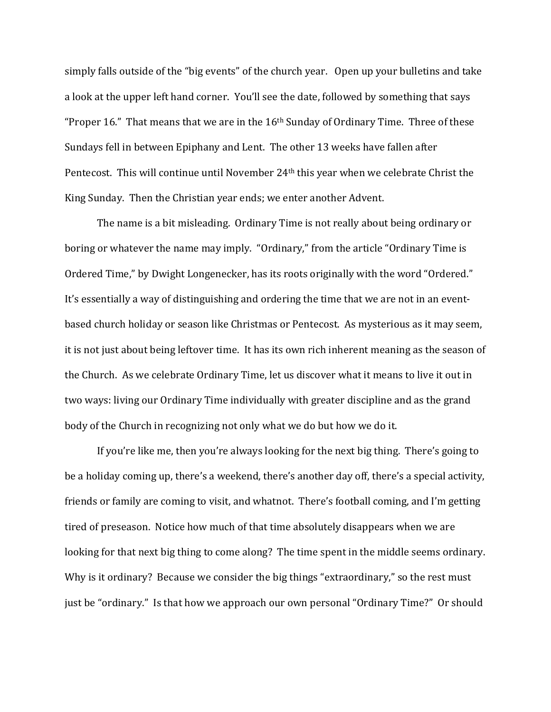simply falls outside of the "big events" of the church year. Open up your bulletins and take a look at the upper left hand corner. You'll see the date, followed by something that says "Proper 16." That means that we are in the  $16<sup>th</sup>$  Sunday of Ordinary Time. Three of these Sundays fell in between Epiphany and Lent. The other 13 weeks have fallen after Pentecost. This will continue until November 24th this year when we celebrate Christ the King Sunday. Then the Christian year ends; we enter another Advent.

 The name is a bit misleading. Ordinary Time is not really about being ordinary or boring or whatever the name may imply. "Ordinary," from the article "Ordinary Time is Ordered Time," by Dwight Longenecker, has its roots originally with the word "Ordered." It's essentially a way of distinguishing and ordering the time that we are not in an eventbased church holiday or season like Christmas or Pentecost. As mysterious as it may seem, it is not just about being leftover time. It has its own rich inherent meaning as the season of the Church. As we celebrate Ordinary Time, let us discover what it means to live it out in two ways: living our Ordinary Time individually with greater discipline and as the grand body of the Church in recognizing not only what we do but how we do it.

 If you're like me, then you're always looking for the next big thing. There's going to be a holiday coming up, there's a weekend, there's another day off, there's a special activity, friends or family are coming to visit, and whatnot. There's football coming, and I'm getting tired of preseason. Notice how much of that time absolutely disappears when we are looking for that next big thing to come along? The time spent in the middle seems ordinary. Why is it ordinary? Because we consider the big things "extraordinary," so the rest must just be "ordinary." Is that how we approach our own personal "Ordinary Time?" Or should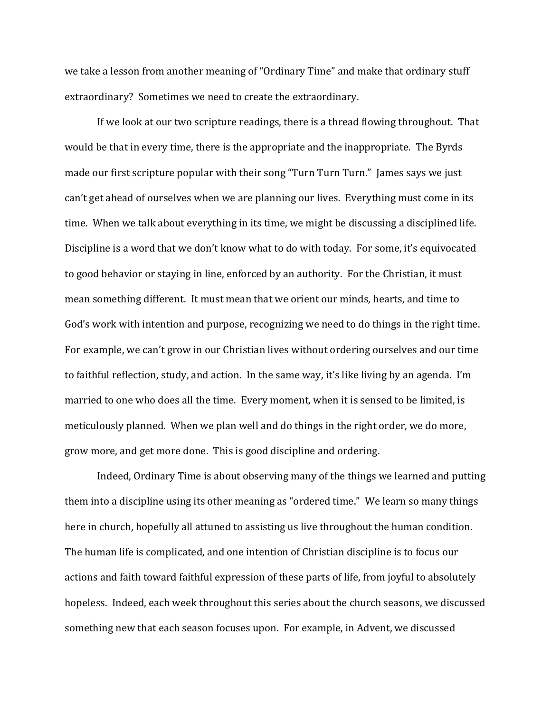we take a lesson from another meaning of "Ordinary Time" and make that ordinary stuff extraordinary? Sometimes we need to create the extraordinary.

 If we look at our two scripture readings, there is a thread flowing throughout. That would be that in every time, there is the appropriate and the inappropriate. The Byrds made our first scripture popular with their song "Turn Turn Turn." James says we just can't get ahead of ourselves when we are planning our lives. Everything must come in its time. When we talk about everything in its time, we might be discussing a disciplined life. Discipline is a word that we don't know what to do with today. For some, it's equivocated to good behavior or staying in line, enforced by an authority. For the Christian, it must mean something different. It must mean that we orient our minds, hearts, and time to God's work with intention and purpose, recognizing we need to do things in the right time. For example, we can't grow in our Christian lives without ordering ourselves and our time to faithful reflection, study, and action. In the same way, it's like living by an agenda. I'm married to one who does all the time. Every moment, when it is sensed to be limited, is meticulously planned. When we plan well and do things in the right order, we do more, grow more, and get more done. This is good discipline and ordering.

Indeed, Ordinary Time is about observing many of the things we learned and putting them into a discipline using its other meaning as "ordered time." We learn so many things here in church, hopefully all attuned to assisting us live throughout the human condition. The human life is complicated, and one intention of Christian discipline is to focus our actions and faith toward faithful expression of these parts of life, from joyful to absolutely hopeless. Indeed, each week throughout this series about the church seasons, we discussed something new that each season focuses upon. For example, in Advent, we discussed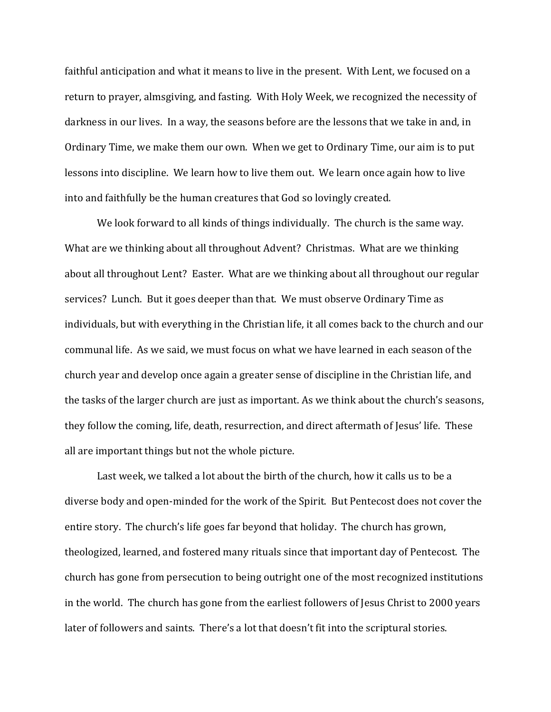faithful anticipation and what it means to live in the present. With Lent, we focused on a return to prayer, almsgiving, and fasting. With Holy Week, we recognized the necessity of darkness in our lives. In a way, the seasons before are the lessons that we take in and, in Ordinary Time, we make them our own. When we get to Ordinary Time, our aim is to put lessons into discipline. We learn how to live them out. We learn once again how to live into and faithfully be the human creatures that God so lovingly created.

 We look forward to all kinds of things individually. The church is the same way. What are we thinking about all throughout Advent? Christmas. What are we thinking about all throughout Lent? Easter. What are we thinking about all throughout our regular services? Lunch. But it goes deeper than that. We must observe Ordinary Time as individuals, but with everything in the Christian life, it all comes back to the church and our communal life. As we said, we must focus on what we have learned in each season of the church year and develop once again a greater sense of discipline in the Christian life, and the tasks of the larger church are just as important. As we think about the church's seasons, they follow the coming, life, death, resurrection, and direct aftermath of Jesus' life. These all are important things but not the whole picture.

Last week, we talked a lot about the birth of the church, how it calls us to be a diverse body and open-minded for the work of the Spirit. But Pentecost does not cover the entire story. The church's life goes far beyond that holiday. The church has grown, theologized, learned, and fostered many rituals since that important day of Pentecost. The church has gone from persecution to being outright one of the most recognized institutions in the world. The church has gone from the earliest followers of Jesus Christ to 2000 years later of followers and saints. There's a lot that doesn't fit into the scriptural stories.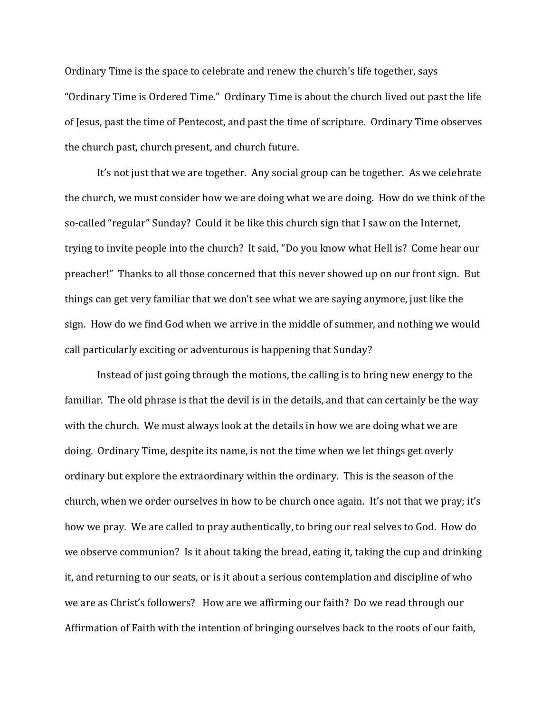Ordinary Time is the space to celebrate and renew the church's life together, says "Ordinary Time is Ordered Time." Ordinary Time is about the church lived out past the life of Jesus, past the time of Pentecost, and past the time of scripture. Ordinary Time observes the church past, church present, and church future.

It's not just that we are together. Any social group can be together. As we celebrate the church, we must consider how we are doing what we are doing. How do we think of the so-called "regular" Sunday? Could it be like this church sign that I saw on the Internet, trying to invite people into the church? It said, "Do you know what Hell is? Come hear our preacher!" Thanks to all those concerned that this never showed up on our front sign. But things can get very familiar that we don't see what we are saying anymore, just like the sign. How do we find God when we arrive in the middle of summer, and nothing we would call particularly exciting or adventurous is happening that Sunday?

Instead of just going through the motions, the calling is to bring new energy to the familiar. The old phrase is that the devil is in the details, and that can certainly be the way with the church. We must always look at the details in how we are doing what we are doing. Ordinary Time, despite its name, is not the time when we let things get overly ordinary but explore the extraordinary within the ordinary. This is the season of the church, when we order ourselves in how to be church once again. It's not that we pray; it's how we pray. We are called to pray authentically, to bring our real selves to God. How do we observe communion? Is it about taking the bread, eating it, taking the cup and drinking it, and returning to our seats, or is it about a serious contemplation and discipline of who we are as Christ's followers? How are we affirming our faith? Do we read through our Affirmation of Faith with the intention of bringing ourselves back to the roots of our faith,